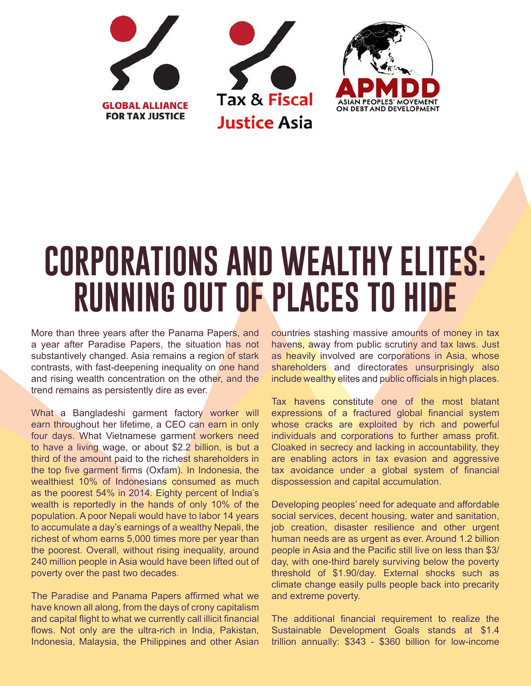





## **CORPORATIONS AND WEALTHY ELITES: RUNNING OUT OF PLACES TO HIDE**

More than three years after the Panama Papers, and a year after Paradise Papers, the situation has not substantively changed. Asia remains a region of stark contrasts, with fast-deepening inequality on one hand and rising wealth concentration on the other, and the trend remains as persistently dire as ever.

What a Bangladeshi garment factory worker will earn throughout her lifetime, a CEO can earn in only four days. What Vietnamese garment workers need to have a living wage, or about \$2.2 billion, is but a third of the amount paid to the richest shareholders in the top five garment firms (Oxfam). In Indonesia, the wealthiest 10% of Indonesians consumed as much as the poorest 54% in 2014. Eighty percent of India's wealth is reportedly in the hands of only 10% of the population. A poor Nepali would have to labor 14 years to accumulate a day's earnings of a wealthy Nepali, the richest of whom earns 5,000 times more per year than the poorest. Overall, without rising inequality, around 240 million people in Asia would have been lifted out of poverty over the past two decades.

The Paradise and Panama Papers affirmed what we have known all along, from the days of crony capitalism and capital flight to what we currently call illicit financial flows. Not only are the ultra-rich in India, Pakistan, Indonesia, Malaysia, the Philippines and other Asian countries stashing massive amounts of money in tax havens, away from public scrutiny and tax laws. Just as heavily involved are corporations in Asia, whose shareholders and directorates unsurprisingly also include wealthy elites and public officials in high places.

Tax havens constitute one of the most blatant expressions of a fractured global financial system whose cracks are exploited by rich and powerful individuals and corporations to further amass profit. Cloaked in secrecy and lacking in accountability, they are enabling actors in tax evasion and aggressive tax avoidance under a global system of financial dispossession and capital accumulation.

Developing peoples' need for adequate and affordable social services, decent housing, water and sanitation, job creation, disaster resilience and other urgent human needs are as urgent as ever. Around 1.2 billion people in Asia and the Pacific still live on less than \$3/ day, with one-third barely surviving below the poverty threshold of \$1.90/day. External shocks such as climate change easily pulls people back into precarity and extreme poverty.

The additional financial requirement to realize the Sustainable Development Goals stands at \$1.4 trillion annually: \$343 - \$360 billion for low-income